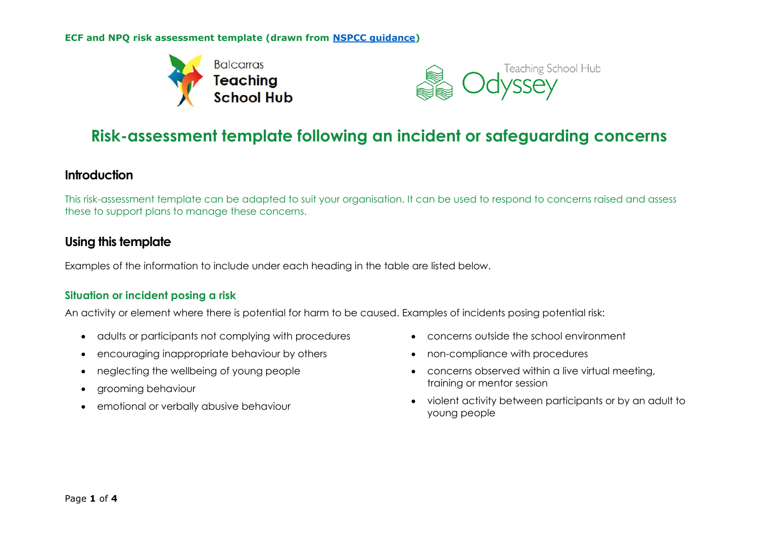**ECF and NPQ risk assessment template (drawn from [NSPCC guidance\)](https://thecpsu.org.uk/resource-library/forms/risk-assessment-template-following-an-incident-or-safeguarding-concern/)**





# **Risk-assessment template following an incident or safeguarding concerns**

# **Introduction**

This risk-assessment template can be adapted to suit your organisation. It can be used to respond to concerns raised and assess these to support plans to manage these concerns.

# **Using this template**

Examples of the information to include under each heading in the table are listed below.

## **Situation or incident posing a risk**

An activity or element where there is potential for harm to be caused. Examples of incidents posing potential risk:

- adults or participants not complying with procedures
- encouraging inappropriate behaviour by others
- neglecting the wellbeing of young people
- arooming behaviour
- emotional or verbally abusive behaviour
- concerns outside the school environment
- non-compliance with procedures
- concerns observed within a live virtual meeting, training or mentor session
- violent activity between participants or by an adult to young people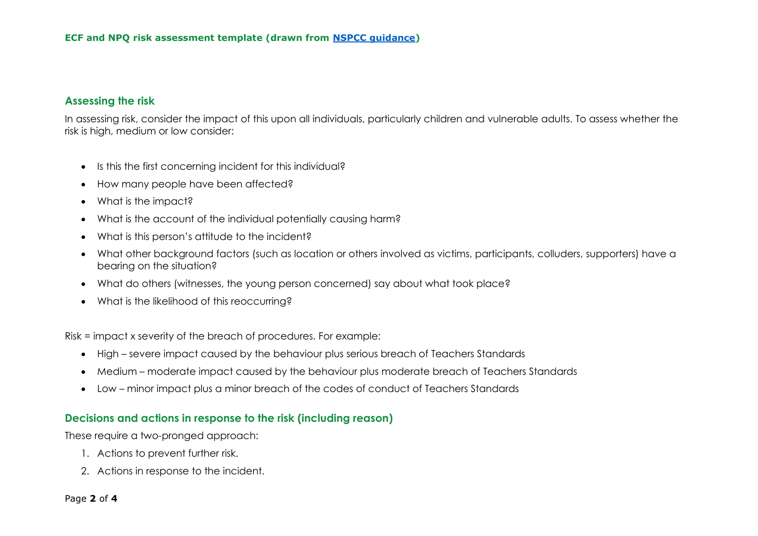#### **Assessing the risk**

In assessing risk, consider the impact of this upon all individuals, particularly children and vulnerable adults. To assess whether the risk is high, medium or low consider:

- Is this the first concerning incident for this individual?
- How many people have been affected?
- What is the impact?
- What is the account of the individual potentially causing harm?
- What is this person's attitude to the incident?
- What other background factors (such as location or others involved as victims, participants, colluders, supporters) have a bearing on the situation?
- What do others (witnesses, the young person concerned) say about what took place?
- What is the likelihood of this reoccurring?

Risk = impact x severity of the breach of procedures. For example:

- High severe impact caused by the behaviour plus serious breach of Teachers Standards
- Medium moderate impact caused by the behaviour plus moderate breach of Teachers Standards
- Low minor impact plus a minor breach of the codes of conduct of Teachers Standards

#### **Decisions and actions in response to the risk (including reason)**

These require a two-pronged approach:

- 1. Actions to prevent further risk.
- 2. Actions in response to the incident.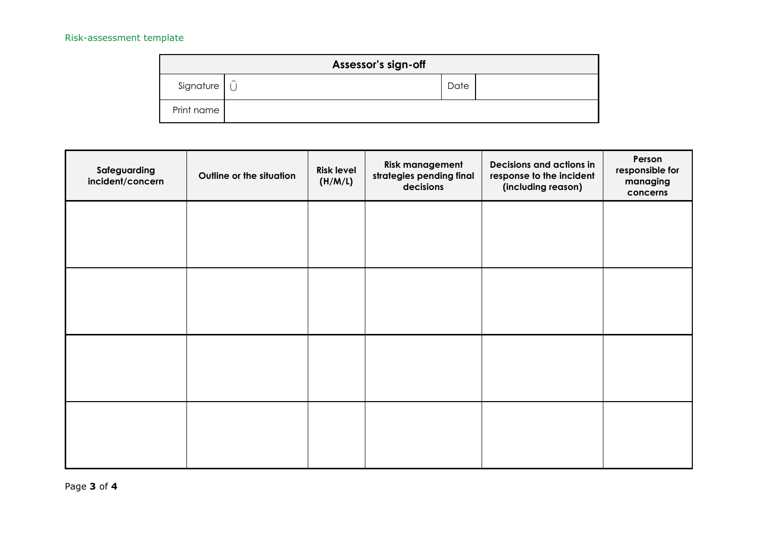## Risk-assessment template

| Assessor's sign-off    |           |      |  |  |  |  |  |
|------------------------|-----------|------|--|--|--|--|--|
| Signature <sub>I</sub> | $\hat{r}$ | Date |  |  |  |  |  |
| Print name             |           |      |  |  |  |  |  |

| Safeguarding<br>incident/concern | Outline or the situation | <b>Risk level</b><br>(H/M/L) | <b>Risk management</b><br>strategies pending final<br>decisions | Decisions and actions in<br>response to the incident<br>(including reason) | Person<br>responsible for<br>managing<br>concerns |
|----------------------------------|--------------------------|------------------------------|-----------------------------------------------------------------|----------------------------------------------------------------------------|---------------------------------------------------|
|                                  |                          |                              |                                                                 |                                                                            |                                                   |
|                                  |                          |                              |                                                                 |                                                                            |                                                   |
|                                  |                          |                              |                                                                 |                                                                            |                                                   |
|                                  |                          |                              |                                                                 |                                                                            |                                                   |
|                                  |                          |                              |                                                                 |                                                                            |                                                   |